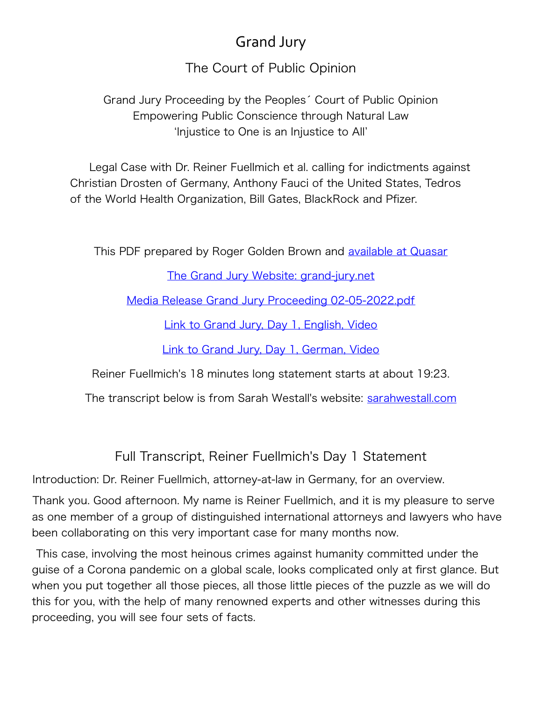## Grand Jury

The Court of Public Opinion

Grand Jury Proceeding by the Peoples´ Court of Public Opinion Empowering Public Conscience through Natural Law 'Injustice to One is an Injustice to All'

Legal Case with Dr. Reiner Fuellmich et al. calling for indictments against Christian Drosten of Germany, Anthony Fauci of the United States, Tedros of the World Health Organization, Bill Gates, BlackRock and Pfizer.

This PDF prepared by Roger Golden Brown and **available at Quasar** 

[The Grand Jury Website: grand-jury.net](https://grand-jury.net/)

[Media Release Grand Jury Proceeding 02-05-2022.pdf](https://grand-jury.net/Media%20Release%20Grand%20Jury%20Proceeding%2002-05-2022.pdf)

[Link to Grand Jury, Day 1, English, Video](https://odysee.com/@GrandJury:f/Grand-Jury-1-EN:0)

[Link to Grand Jury, Day 1, German, Video](https://odysee.com/@GrandJury:f/Grand-Jury-1-DE:a)

Reiner Fuellmich's 18 minutes long statement starts at about 19:23.

The transcript below is from Sarah Westall's website: [sarahwestall.com](https://sarahwestall.com/important-video-dr-reiner-fuellmichs-opening-statements-grand-jury-the-court-of-public-opinion/)

Full Transcript, Reiner Fuellmich's Day 1 Statement

Introduction: Dr. Reiner Fuellmich, attorney-at-law in Germany, for an overview.

Thank you. Good afternoon. My name is Reiner Fuellmich, and it is my pleasure to serve as one member of a group of distinguished international attorneys and lawyers who have been collaborating on this very important case for many months now.

 This case, involving the most heinous crimes against humanity committed under the guise of a Corona pandemic on a global scale, looks complicated only at first glance. But when you put together all those pieces, all those little pieces of the puzzle as we will do this for you, with the help of many renowned experts and other witnesses during this proceeding, you will see four sets of facts.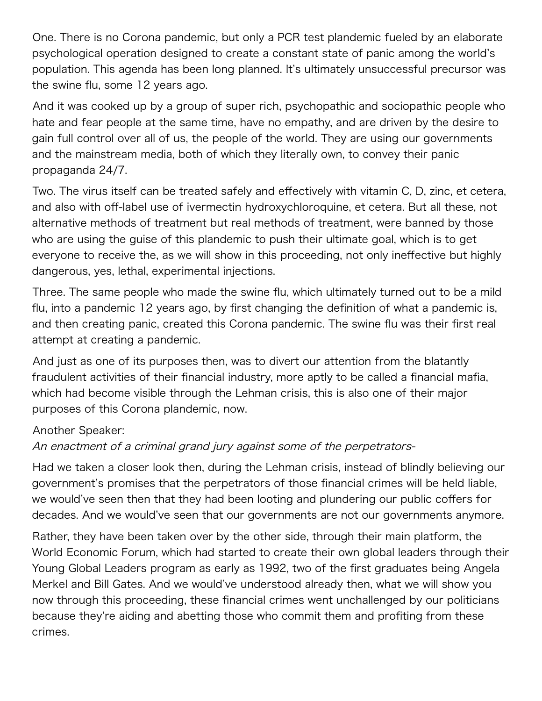One. There is no Corona pandemic, but only a PCR test plandemic fueled by an elaborate psychological operation designed to create a constant state of panic among the world's population. This agenda has been long planned. It's ultimately unsuccessful precursor was the swine flu, some 12 years ago.

And it was cooked up by a group of super rich, psychopathic and sociopathic people who hate and fear people at the same time, have no empathy, and are driven by the desire to gain full control over all of us, the people of the world. They are using our governments and the mainstream media, both of which they literally own, to convey their panic propaganda 24/7.

Two. The virus itself can be treated safely and effectively with vitamin C, D, zinc, et cetera, and also with off-label use of ivermectin hydroxychloroquine, et cetera. But all these, not alternative methods of treatment but real methods of treatment, were banned by those who are using the guise of this plandemic to push their ultimate goal, which is to get everyone to receive the, as we will show in this proceeding, not only ineffective but highly dangerous, yes, lethal, experimental injections.

Three. The same people who made the swine flu, which ultimately turned out to be a mild flu, into a pandemic 12 years ago, by first changing the definition of what a pandemic is, and then creating panic, created this Corona pandemic. The swine flu was their first real attempt at creating a pandemic.

And just as one of its purposes then, was to divert our attention from the blatantly fraudulent activities of their financial industry, more aptly to be called a financial mafia, which had become visible through the Lehman crisis, this is also one of their major purposes of this Corona plandemic, now.

## Another Speaker:

## An enactment of a criminal grand jury against some of the perpetrators-

Had we taken a closer look then, during the Lehman crisis, instead of blindly believing our government's promises that the perpetrators of those financial crimes will be held liable, we would've seen then that they had been looting and plundering our public coffers for decades. And we would've seen that our governments are not our governments anymore.

Rather, they have been taken over by the other side, through their main platform, the World Economic Forum, which had started to create their own global leaders through their Young Global Leaders program as early as 1992, two of the first graduates being Angela Merkel and Bill Gates. And we would've understood already then, what we will show you now through this proceeding, these financial crimes went unchallenged by our politicians because they're aiding and abetting those who commit them and profiting from these crimes.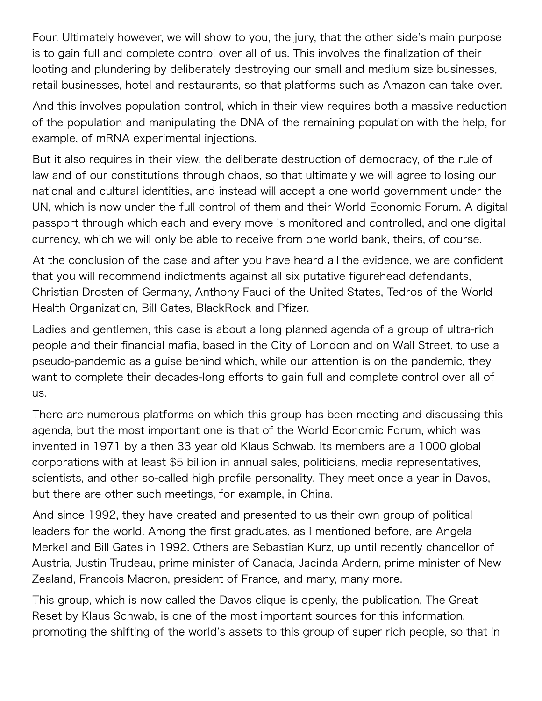Four. Ultimately however, we will show to you, the jury, that the other side's main purpose is to gain full and complete control over all of us. This involves the finalization of their looting and plundering by deliberately destroying our small and medium size businesses, retail businesses, hotel and restaurants, so that platforms such as Amazon can take over.

And this involves population control, which in their view requires both a massive reduction of the population and manipulating the DNA of the remaining population with the help, for example, of mRNA experimental injections.

But it also requires in their view, the deliberate destruction of democracy, of the rule of law and of our constitutions through chaos, so that ultimately we will agree to losing our national and cultural identities, and instead will accept a one world government under the UN, which is now under the full control of them and their World Economic Forum. A digital passport through which each and every move is monitored and controlled, and one digital currency, which we will only be able to receive from one world bank, theirs, of course.

At the conclusion of the case and after you have heard all the evidence, we are confident that you will recommend indictments against all six putative figurehead defendants, Christian Drosten of Germany, Anthony Fauci of the United States, Tedros of the World Health Organization, Bill Gates, BlackRock and Pfizer.

Ladies and gentlemen, this case is about a long planned agenda of a group of ultra-rich people and their financial mafia, based in the City of London and on Wall Street, to use a pseudo-pandemic as a guise behind which, while our attention is on the pandemic, they want to complete their decades-long efforts to gain full and complete control over all of us.

There are numerous platforms on which this group has been meeting and discussing this agenda, but the most important one is that of the World Economic Forum, which was invented in 1971 by a then 33 year old Klaus Schwab. Its members are a 1000 global corporations with at least \$5 billion in annual sales, politicians, media representatives, scientists, and other so-called high profile personality. They meet once a year in Davos, but there are other such meetings, for example, in China.

And since 1992, they have created and presented to us their own group of political leaders for the world. Among the first graduates, as I mentioned before, are Angela Merkel and Bill Gates in 1992. Others are Sebastian Kurz, up until recently chancellor of Austria, Justin Trudeau, prime minister of Canada, Jacinda Ardern, prime minister of New Zealand, Francois Macron, president of France, and many, many more.

This group, which is now called the Davos clique is openly, the publication, The Great Reset by Klaus Schwab, is one of the most important sources for this information, promoting the shifting of the world's assets to this group of super rich people, so that in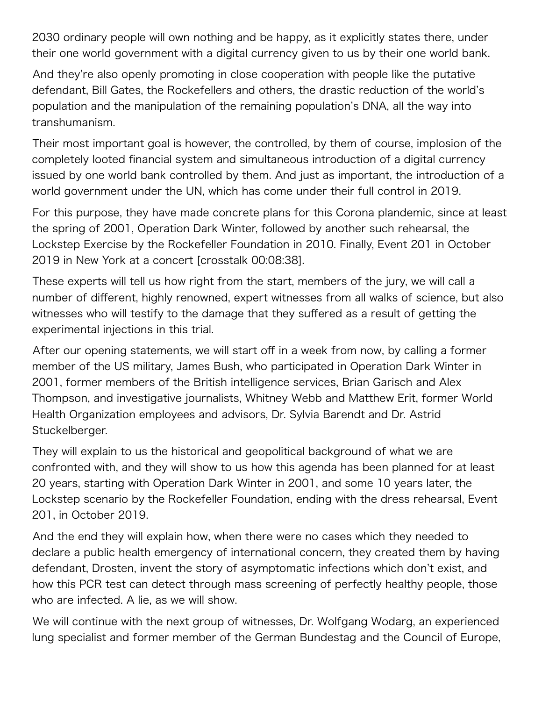2030 ordinary people will own nothing and be happy, as it explicitly states there, under their one world government with a digital currency given to us by their one world bank.

And they're also openly promoting in close cooperation with people like the putative defendant, Bill Gates, the Rockefellers and others, the drastic reduction of the world's population and the manipulation of the remaining population's DNA, all the way into transhumanism.

Their most important goal is however, the controlled, by them of course, implosion of the completely looted financial system and simultaneous introduction of a digital currency issued by one world bank controlled by them. And just as important, the introduction of a world government under the UN, which has come under their full control in 2019.

For this purpose, they have made concrete plans for this Corona plandemic, since at least the spring of 2001, Operation Dark Winter, followed by another such rehearsal, the Lockstep Exercise by the Rockefeller Foundation in 2010. Finally, Event 201 in October 2019 in New York at a concert [crosstalk 00:08:38].

These experts will tell us how right from the start, members of the jury, we will call a number of different, highly renowned, expert witnesses from all walks of science, but also witnesses who will testify to the damage that they suffered as a result of getting the experimental injections in this trial.

After our opening statements, we will start off in a week from now, by calling a former member of the US military, James Bush, who participated in Operation Dark Winter in 2001, former members of the British intelligence services, Brian Garisch and Alex Thompson, and investigative journalists, Whitney Webb and Matthew Erit, former World Health Organization employees and advisors, Dr. Sylvia Barendt and Dr. Astrid Stuckelberger.

They will explain to us the historical and geopolitical background of what we are confronted with, and they will show to us how this agenda has been planned for at least 20 years, starting with Operation Dark Winter in 2001, and some 10 years later, the Lockstep scenario by the Rockefeller Foundation, ending with the dress rehearsal, Event 201, in October 2019.

And the end they will explain how, when there were no cases which they needed to declare a public health emergency of international concern, they created them by having defendant, Drosten, invent the story of asymptomatic infections which don't exist, and how this PCR test can detect through mass screening of perfectly healthy people, those who are infected. A lie, as we will show.

We will continue with the next group of witnesses, Dr. Wolfgang Wodarg, an experienced lung specialist and former member of the German Bundestag and the Council of Europe,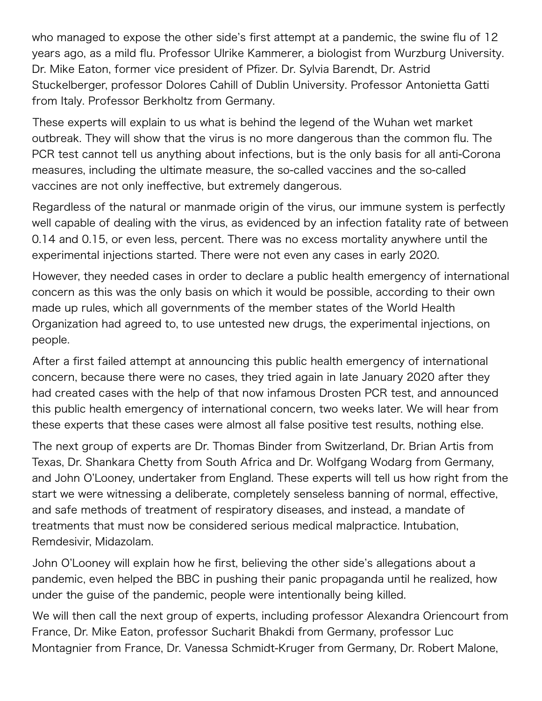who managed to expose the other side's first attempt at a pandemic, the swine flu of 12 years ago, as a mild flu. Professor Ulrike Kammerer, a biologist from Wurzburg University. Dr. Mike Eaton, former vice president of Pfizer. Dr. Sylvia Barendt, Dr. Astrid Stuckelberger, professor Dolores Cahill of Dublin University. Professor Antonietta Gatti from Italy. Professor Berkholtz from Germany.

These experts will explain to us what is behind the legend of the Wuhan wet market outbreak. They will show that the virus is no more dangerous than the common flu. The PCR test cannot tell us anything about infections, but is the only basis for all anti-Corona measures, including the ultimate measure, the so-called vaccines and the so-called vaccines are not only ineffective, but extremely dangerous.

Regardless of the natural or manmade origin of the virus, our immune system is perfectly well capable of dealing with the virus, as evidenced by an infection fatality rate of between 0.14 and 0.15, or even less, percent. There was no excess mortality anywhere until the experimental injections started. There were not even any cases in early 2020.

However, they needed cases in order to declare a public health emergency of international concern as this was the only basis on which it would be possible, according to their own made up rules, which all governments of the member states of the World Health Organization had agreed to, to use untested new drugs, the experimental injections, on people.

After a first failed attempt at announcing this public health emergency of international concern, because there were no cases, they tried again in late January 2020 after they had created cases with the help of that now infamous Drosten PCR test, and announced this public health emergency of international concern, two weeks later. We will hear from these experts that these cases were almost all false positive test results, nothing else.

The next group of experts are Dr. Thomas Binder from Switzerland, Dr. Brian Artis from Texas, Dr. Shankara Chetty from South Africa and Dr. Wolfgang Wodarg from Germany, and John O'Looney, undertaker from England. These experts will tell us how right from the start we were witnessing a deliberate, completely senseless banning of normal, effective, and safe methods of treatment of respiratory diseases, and instead, a mandate of treatments that must now be considered serious medical malpractice. Intubation, Remdesivir, Midazolam.

John O'Looney will explain how he first, believing the other side's allegations about a pandemic, even helped the BBC in pushing their panic propaganda until he realized, how under the guise of the pandemic, people were intentionally being killed.

We will then call the next group of experts, including professor Alexandra Oriencourt from France, Dr. Mike Eaton, professor Sucharit Bhakdi from Germany, professor Luc Montagnier from France, Dr. Vanessa Schmidt-Kruger from Germany, Dr. Robert Malone,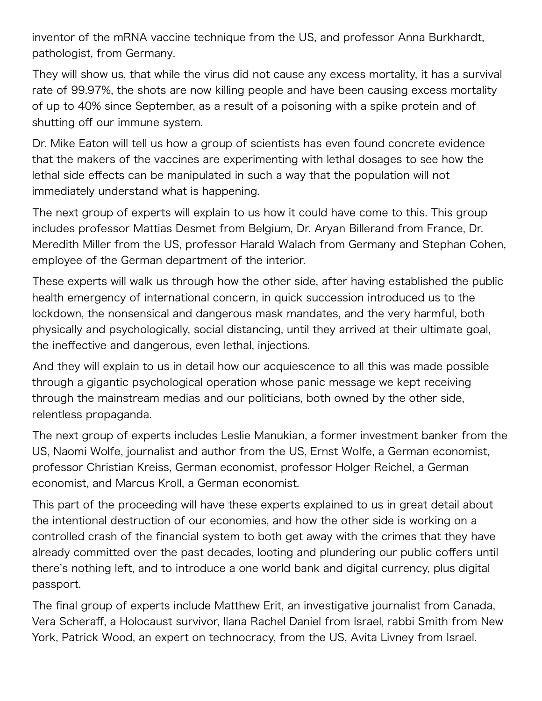inventor of the mRNA vaccine technique from the US, and professor Anna Burkhardt, pathologist, from Germany.

They will show us, that while the virus did not cause any excess mortality, it has a survival rate of 99.97%, the shots are now killing people and have been causing excess mortality of up to 40% since September, as a result of a poisoning with a spike protein and of shutting off our immune system.

Dr. Mike Eaton will tell us how a group of scientists has even found concrete evidence that the makers of the vaccines are experimenting with lethal dosages to see how the lethal side effects can be manipulated in such a way that the population will not immediately understand what is happening.

The next group of experts will explain to us how it could have come to this. This group includes professor Mattias Desmet from Belgium, Dr. Aryan Billerand from France, Dr. Meredith Miller from the US, professor Harald Walach from Germany and Stephan Cohen, employee of the German department of the interior.

These experts will walk us through how the other side, after having established the public health emergency of international concern, in quick succession introduced us to the lockdown, the nonsensical and dangerous mask mandates, and the very harmful, both physically and psychologically, social distancing, until they arrived at their ultimate goal, the ineffective and dangerous, even lethal, injections.

And they will explain to us in detail how our acquiescence to all this was made possible through a gigantic psychological operation whose panic message we kept receiving through the mainstream medias and our politicians, both owned by the other side, relentless propaganda.

The next group of experts includes Leslie Manukian, a former investment banker from the US, Naomi Wolfe, journalist and author from the US, Ernst Wolfe, a German economist, professor Christian Kreiss, German economist, professor Holger Reichel, a German economist, and Marcus Kroll, a German economist.

This part of the proceeding will have these experts explained to us in great detail about the intentional destruction of our economies, and how the other side is working on a controlled crash of the financial system to both get away with the crimes that they have already committed over the past decades, looting and plundering our public coffers until there's nothing left, and to introduce a one world bank and digital currency, plus digital passport.

The final group of experts include Matthew Erit, an investigative journalist from Canada, Vera Scheraff, a Holocaust survivor, Ilana Rachel Daniel from Israel, rabbi Smith from New York, Patrick Wood, an expert on technocracy, from the US, Avita Livney from Israel.